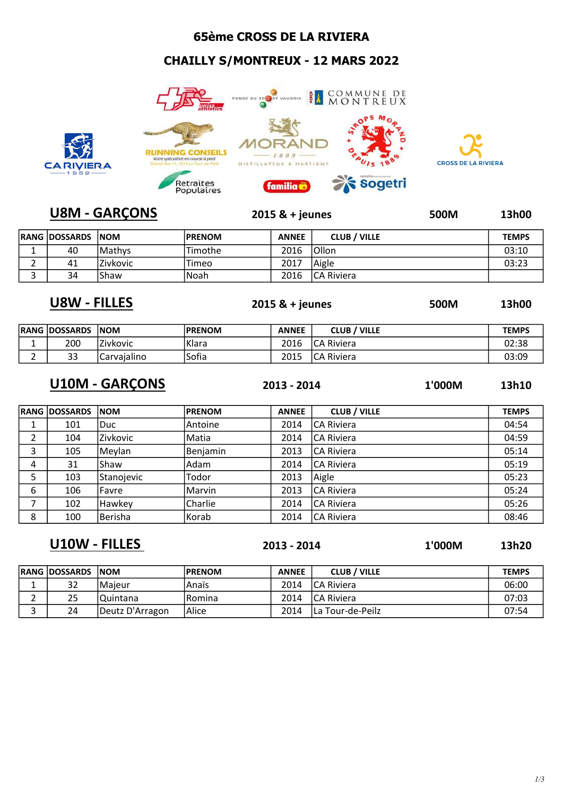## 65ème CROSS DE LA RIVIERA

## CHAILLY S/MONTREUX - 12 MARS 2022





## U8M - GARÇONS 2015 & + jeunes 500M 13h00

| <b>RANG DOSSARDS NOM</b> |                 | <b>PRENOM</b> | <b>ANNEE</b> | <b>CLUB / VILLE</b> | <b>TEMPS</b> |
|--------------------------|-----------------|---------------|--------------|---------------------|--------------|
| 40                       | Mathys          | Timothe       | 2016         | 'Ollon              | 03:10        |
| 41                       | <b>Zivkovic</b> | Timeo         | 2017         | Aigle               | 03:23        |
| 34                       | Shaw            | lNoah         | 2016         | ICA Riviera         |              |

U8W - FILLES 2015 & + jeunes 500M 13h00

| 50 |  |  |
|----|--|--|
|    |  |  |
|    |  |  |

|   | <b>RANG DOSSARDS</b> | <b>INOM</b> | <b>PRENOM</b> | <b>ANNEE</b> | <b>VILLE</b><br><b>CLUB</b> | <b>TEMPS</b> |
|---|----------------------|-------------|---------------|--------------|-----------------------------|--------------|
|   | 200                  | Zivkovic    | Klara         | 2016         | ICA Riviera                 | 02:38        |
| ∸ | ົາ<br>၁၁             | Carvaialino | Sofia         | 2015         | ICA Riviera                 | 03:09        |

U10M - GARÇONS 2013 - 2014 1'000M 13h10

|   | <b>RANG IDOSSARDS</b> | <b>NOM</b>      | <b>PRENOM</b> | <b>ANNEE</b> | <b>CLUB / VILLE</b> | <b>TEMPS</b> |
|---|-----------------------|-----------------|---------------|--------------|---------------------|--------------|
|   | 101                   | Duc.            | Antoine       | 2014         | <b>ICA Riviera</b>  | 04:54        |
|   | 104                   | <b>Zivkovic</b> | Matia         | 2014         | <b>CA Riviera</b>   | 04:59        |
| 3 | 105                   | Meylan          | Benjamin      | 2013         | <b>ICA Riviera</b>  | 05:14        |
| 4 | 31                    | lShaw           | Adam          | 2014         | <b>CA Riviera</b>   | 05:19        |
| 5 | 103                   | Stanojevic      | Todor         | 2013         | Aigle               | 05:23        |
| 6 | 106                   | <b>Favre</b>    | Marvin        | 2013         | <b>CA Riviera</b>   | 05:24        |
|   | 102                   | Hawkey          | Charlie       | 2014         | <b>CA Riviera</b>   | 05:26        |
| 8 | 100                   | Berisha         | Korab         | 2014         | <b>CA Riviera</b>   | 08:46        |

U10W - FILLES 2013 - 2014 1'000M 13h20

| RANG  DOSSARDS | <b>INOM</b>     | <b>PRENOM</b> | <b>ANNEE</b> | <b>CLUB / VILLE</b> | <b>TEMPS</b> |
|----------------|-----------------|---------------|--------------|---------------------|--------------|
| 32             | Maieur          | Anaïs         | 2014         | ICA Riviera         | 06:00        |
| 25             | 'Quintana       | l Romina      | 2014         | ICA Riviera         | 07:03        |
| 24             | Deutz D'Arragon | lAlice        | 2014         | ILa Tour-de-Peilz   | 07:54        |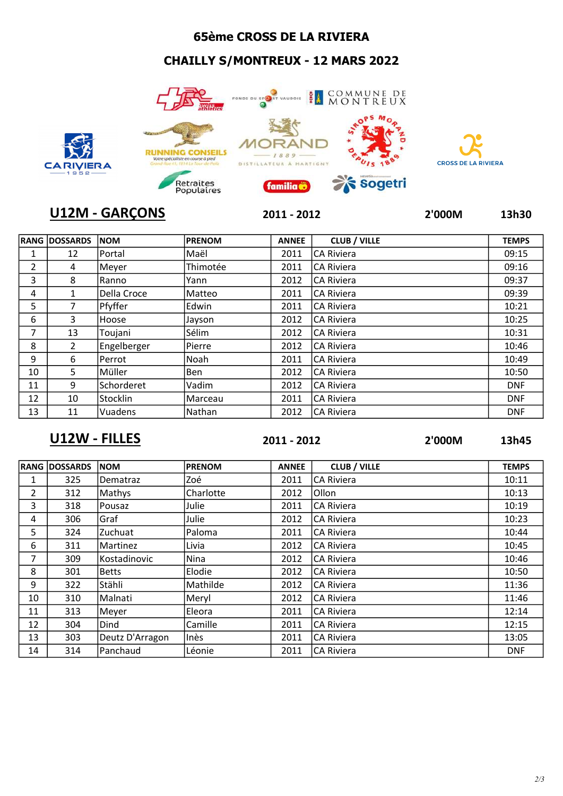## 65ème CROSS DE LA RIVIERA

## CHAILLY S/MONTREUX - 12 MARS 2022







| <b>IRANG</b>   | <b>DOSSARDS</b> | <b>NOM</b>    | <b>PRENOM</b> | <b>ANNEE</b> | <b>CLUB / VILLE</b> | <b>TEMPS</b> |
|----------------|-----------------|---------------|---------------|--------------|---------------------|--------------|
| T              | 12              | <b>Portal</b> | ∣Maël         | 2011         | <b>CA Riviera</b>   | 09:15        |
| $\overline{2}$ | 4               | Meyer         | Thimotée      | 2011         | <b>CA Riviera</b>   | 09:16        |
| 3              | 8               | Ranno         | Yann          | 2012         | <b>CA Riviera</b>   | 09:37        |
| 4              | 1               | Della Croce   | Matteo        | 2011         | <b>ICA Riviera</b>  | 09:39        |
| 5              | 7               | Pfyffer       | Edwin         | 2011         | <b>ICA Riviera</b>  | 10:21        |
| 6              | 3               | Hoose         | Jayson        | 2012         | <b>ICA Riviera</b>  | 10:25        |
| 7              | 13              | Toujani       | Sélim         | 2012         | <b>ICA Riviera</b>  | 10:31        |
| 8              | $\overline{2}$  | Engelberger   | Pierre        | 2012         | <b>CA Riviera</b>   | 10:46        |
| 9              | 6               | Perrot        | Noah          | 2011         | <b>ICA Riviera</b>  | 10:49        |
| 10             | 5               | Müller        | Ben           | 2012         | <b>ICA Riviera</b>  | 10:50        |
| 11             | 9               | Schorderet    | Vadim         | 2012         | ICA Riviera         | <b>DNF</b>   |
| 12             | 10              | Stocklin      | Marceau       | 2011         | <b>ICA Riviera</b>  | <b>DNF</b>   |
| 13             | 11              | Vuadens       | Nathan        | 2012         | <b>ICA Riviera</b>  | <b>DNF</b>   |

## U12W - FILLES 2011 - 2012 2'000M 13h45

|    | <b>RANG DOSSARDS</b> | <b>NOM</b>      | <b>PRENOM</b> | <b>ANNEE</b> | <b>CLUB / VILLE</b> | <b>TEMPS</b> |
|----|----------------------|-----------------|---------------|--------------|---------------------|--------------|
| 1  | 325                  | <b>Dematraz</b> | Zoé           | 2011         | <b>CA Riviera</b>   | 10:11        |
| 2  | 312                  | Mathys          | Charlotte     | 2012         | <b>Ollon</b>        | 10:13        |
| 3  | 318                  | Pousaz          | Julie         | 2011         | <b>CA Riviera</b>   | 10:19        |
| 4  | 306                  | Graf            | Julie         | 2012         | <b>CA Riviera</b>   | 10:23        |
| 5  | 324                  | Zuchuat         | Paloma        | 2011         | <b>CA Riviera</b>   | 10:44        |
| 6  | 311                  | Martinez        | Livia         | 2012         | <b>CA Riviera</b>   | 10:45        |
| 7  | 309                  | Kostadinovic    | Nina          | 2012         | <b>CA Riviera</b>   | 10:46        |
| 8  | 301                  | <b>Betts</b>    | Elodie        | 2012         | <b>CA Riviera</b>   | 10:50        |
| 9  | 322                  | Stähli          | Mathilde      | 2012         | <b>CA Riviera</b>   | 11:36        |
| 10 | 310                  | Malnati         | Meryl         | 2012         | <b>CA Riviera</b>   | 11:46        |
| 11 | 313                  | Meyer           | Eleora        | 2011         | <b>CA Riviera</b>   | 12:14        |
| 12 | 304                  | Dind            | Camille       | 2011         | <b>CA Riviera</b>   | 12:15        |
| 13 | 303                  | Deutz D'Arragon | Inès          | 2011         | <b>CA Riviera</b>   | 13:05        |
| 14 | 314                  | Panchaud        | Léonie        | 2011         | <b>CA Riviera</b>   | <b>DNF</b>   |